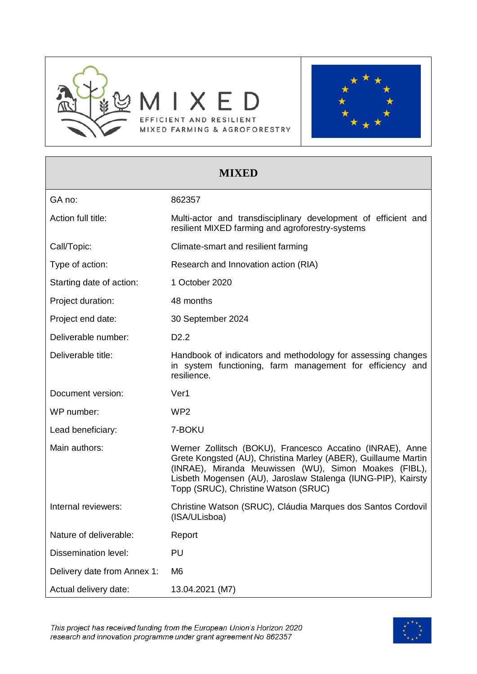



# **MIXED** GA no: 862357 Action full title: Multi-actor and transdisciplinary development of efficient and resilient MIXED farming and agroforestry-systems Call/Topic: Call/Topic: Climate-smart and resilient farming Type of action: Research and Innovation action (RIA) Starting date of action: 1 October 2020 Project duration: 48 months Project end date: 30 September 2024 Deliverable number: D2.2 Deliverable title: Handbook of indicators and methodology for assessing changes in system functioning, farm management for efficiency and resilience. Document version: Ver1 WP number: WP2 Lead beneficiary: 7-BOKU Main authors: Werner Zollitsch (BOKU), Francesco Accatino (INRAE), Anne Grete Kongsted (AU), Christina Marley (ABER), Guillaume Martin (INRAE), Miranda Meuwissen (WU), Simon Moakes (FIBL), Lisbeth Mogensen (AU), Jaroslaw Stalenga (IUNG-PIP), Kairsty Topp (SRUC), Christine Watson (SRUC) Internal reviewers: Christine Watson (SRUC), Cláudia Marques dos Santos Cordovil (ISA/ULisboa) Nature of deliverable: Report Dissemination level: PU Delivery date from Annex 1: M6 Actual delivery date: 13.04.2021 (M7)

This project has received funding from the European Union's Horizon 2020 research and innovation programme under grant agreement No 862357

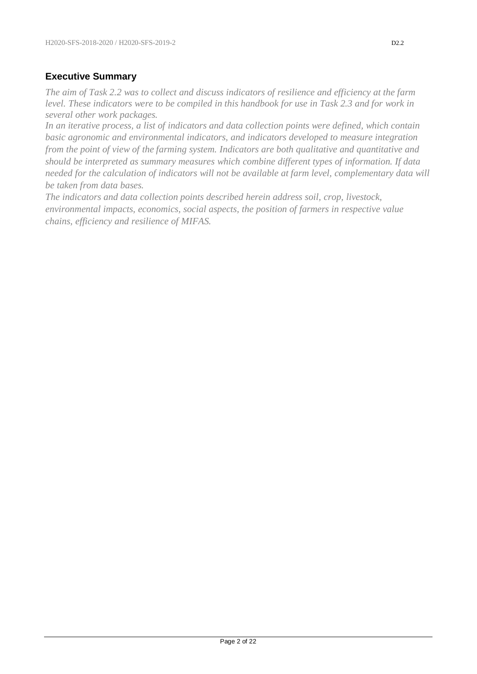### **Executive Summary**

*The aim of Task 2.2 was to collect and discuss indicators of resilience and efficiency at the farm level. These indicators were to be compiled in this handbook for use in Task 2.3 and for work in several other work packages.* 

*In an iterative process, a list of indicators and data collection points were defined, which contain basic agronomic and environmental indicators, and indicators developed to measure integration from the point of view of the farming system. Indicators are both qualitative and quantitative and should be interpreted as summary measures which combine different types of information. If data needed for the calculation of indicators will not be available at farm level, complementary data will be taken from data bases.*

*The indicators and data collection points described herein address soil, crop, livestock, environmental impacts, economics, social aspects, the position of farmers in respective value chains, efficiency and resilience of MIFAS.*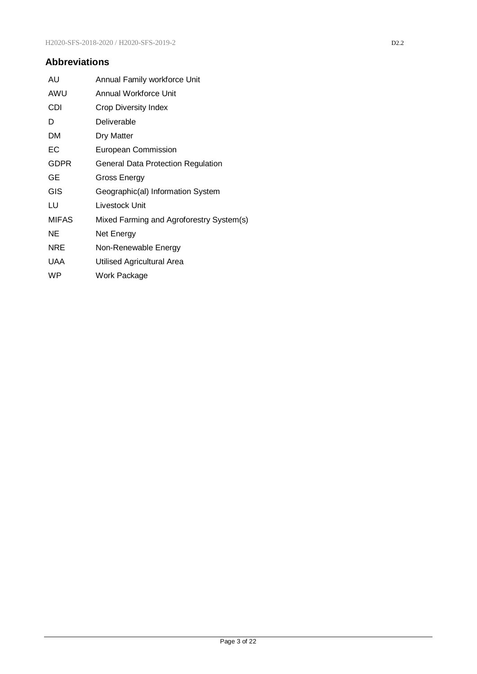### **Abbreviations**

| AU           | Annual Family workforce Unit             |
|--------------|------------------------------------------|
| AWU          | Annual Workforce Unit                    |
| CDI          | <b>Crop Diversity Index</b>              |
| D            | Deliverable                              |
| DМ           | Dry Matter                               |
| ЕC           | <b>European Commission</b>               |
| GDPR         | General Data Protection Regulation       |
| GE           | Gross Energy                             |
| GIS          | Geographic(al) Information System        |
| LU           | Livestock Unit                           |
| <b>MIFAS</b> | Mixed Farming and Agroforestry System(s) |
| ΝE           | Net Energy                               |
| <b>NRE</b>   | Non-Renewable Energy                     |
| <b>UAA</b>   | Utilised Agricultural Area               |
| WP           | Work Package                             |
|              |                                          |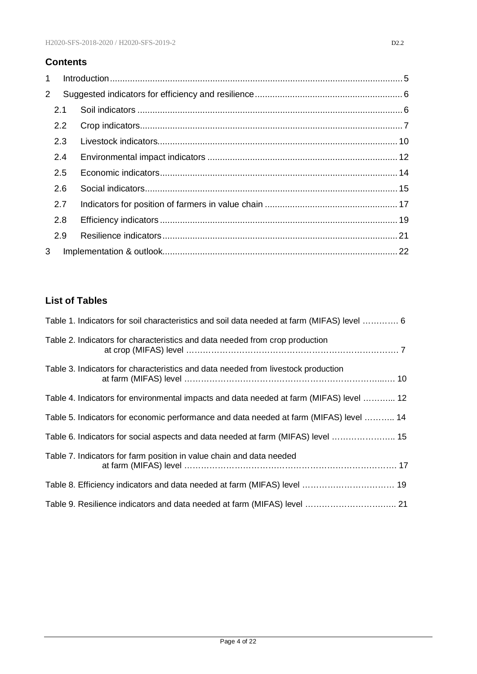### **Contents**

| 1              |               |  |
|----------------|---------------|--|
| $\overline{2}$ |               |  |
|                | 2.1           |  |
|                | $2.2^{\circ}$ |  |
|                | 2.3           |  |
|                | 2.4           |  |
|                | 2.5           |  |
|                | 2.6           |  |
|                | 2.7           |  |
|                | 2.8           |  |
|                | 2.9           |  |
| 3              |               |  |

### **List of Tables**

| Table 1. Indicators for soil characteristics and soil data needed at farm (MIFAS) level  6 |  |
|--------------------------------------------------------------------------------------------|--|
| Table 2. Indicators for characteristics and data needed from crop production               |  |
| Table 3. Indicators for characteristics and data needed from livestock production          |  |
| Table 4. Indicators for environmental impacts and data needed at farm (MIFAS) level  12    |  |
| Table 5. Indicators for economic performance and data needed at farm (MIFAS) level  14     |  |
| Table 6. Indicators for social aspects and data needed at farm (MIFAS) level  15           |  |
| Table 7. Indicators for farm position in value chain and data needed                       |  |
|                                                                                            |  |
|                                                                                            |  |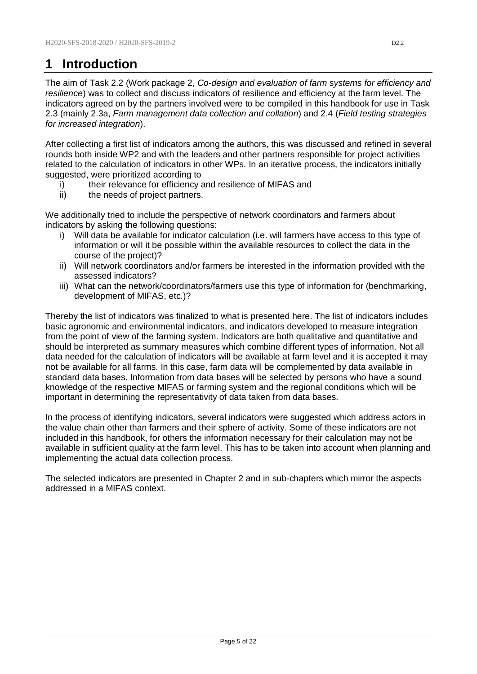# <span id="page-4-0"></span>**1 Introduction**

The aim of Task 2.2 (Work package 2, *Co-design and evaluation of farm systems for efficiency and resilience*) was to collect and discuss indicators of resilience and efficiency at the farm level. The indicators agreed on by the partners involved were to be compiled in this handbook for use in Task 2.3 (mainly 2.3a, *Farm management data collection and collation*) and 2.4 (*Field testing strategies for increased integration*).

After collecting a first list of indicators among the authors, this was discussed and refined in several rounds both inside WP2 and with the leaders and other partners responsible for project activities related to the calculation of indicators in other WPs. In an iterative process, the indicators initially suggested, were prioritized according to

- i) their relevance for efficiency and resilience of MIFAS and
- ii) the needs of project partners.

We additionally tried to include the perspective of network coordinators and farmers about indicators by asking the following questions:

- i) Will data be available for indicator calculation (i.e. will farmers have access to this type of information or will it be possible within the available resources to collect the data in the course of the project)?
- ii) Will network coordinators and/or farmers be interested in the information provided with the assessed indicators?
- iii) What can the network/coordinators/farmers use this type of information for (benchmarking, development of MIFAS, etc.)?

Thereby the list of indicators was finalized to what is presented here. The list of indicators includes basic agronomic and environmental indicators, and indicators developed to measure integration from the point of view of the farming system. Indicators are both qualitative and quantitative and should be interpreted as summary measures which combine different types of information. Not all data needed for the calculation of indicators will be available at farm level and it is accepted it may not be available for all farms. In this case, farm data will be complemented by data available in standard data bases. Information from data bases will be selected by persons who have a sound knowledge of the respective MIFAS or farming system and the regional conditions which will be important in determining the representativity of data taken from data bases.

In the process of identifying indicators, several indicators were suggested which address actors in the value chain other than farmers and their sphere of activity. Some of these indicators are not included in this handbook, for others the information necessary for their calculation may not be available in sufficient quality at the farm level. This has to be taken into account when planning and implementing the actual data collection process.

The selected indicators are presented in Chapter 2 and in sub-chapters which mirror the aspects addressed in a MIFAS context.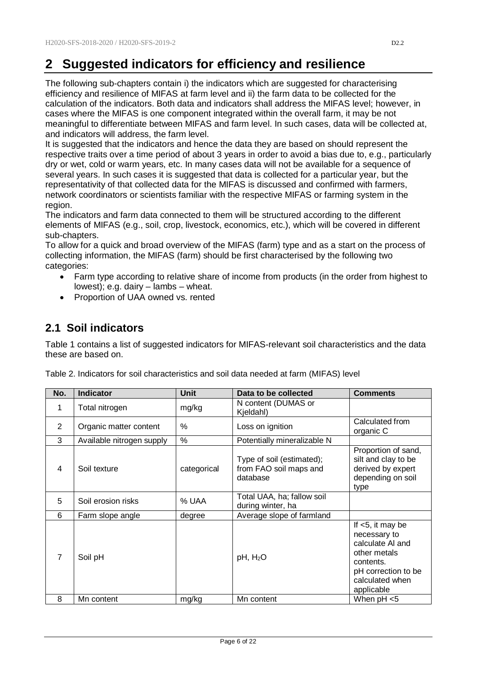# <span id="page-5-0"></span>**2 Suggested indicators for efficiency and resilience**

The following sub-chapters contain i) the indicators which are suggested for characterising efficiency and resilience of MIFAS at farm level and ii) the farm data to be collected for the calculation of the indicators. Both data and indicators shall address the MIFAS level; however, in cases where the MIFAS is one component integrated within the overall farm, it may be not meaningful to differentiate between MIFAS and farm level. In such cases, data will be collected at, and indicators will address, the farm level.

It is suggested that the indicators and hence the data they are based on should represent the respective traits over a time period of about 3 years in order to avoid a bias due to, e.g., particularly dry or wet, cold or warm years, etc. In many cases data will not be available for a sequence of several years. In such cases it is suggested that data is collected for a particular year, but the representativity of that collected data for the MIFAS is discussed and confirmed with farmers, network coordinators or scientists familiar with the respective MIFAS or farming system in the region.

The indicators and farm data connected to them will be structured according to the different elements of MIFAS (e.g., soil, crop, livestock, economics, etc.), which will be covered in different sub-chapters.

To allow for a quick and broad overview of the MIFAS (farm) type and as a start on the process of collecting information, the MIFAS (farm) should be first characterised by the following two categories:

- Farm type according to relative share of income from products (in the order from highest to lowest); e.g. dairy – lambs – wheat.
- <span id="page-5-1"></span>• Proportion of UAA owned vs. rented

### **2.1 Soil indicators**

Table 1 contains a list of suggested indicators for MIFAS-relevant soil characteristics and the data these are based on.

| No.            | <b>Indicator</b>          | <b>Unit</b> | Data to be collected                                            | <b>Comments</b>                                                                                                                              |
|----------------|---------------------------|-------------|-----------------------------------------------------------------|----------------------------------------------------------------------------------------------------------------------------------------------|
| 1              | Total nitrogen            | mg/kg       | N content (DUMAS or<br>Kjeldahl)                                |                                                                                                                                              |
| 2              | Organic matter content    | %           | Loss on ignition                                                | Calculated from<br>organic C                                                                                                                 |
| 3              | Available nitrogen supply | %           | Potentially mineralizable N                                     |                                                                                                                                              |
| 4              | Soil texture              | categorical | Type of soil (estimated);<br>from FAO soil maps and<br>database | Proportion of sand,<br>silt and clay to be<br>derived by expert<br>depending on soil<br>type                                                 |
| 5              | Soil erosion risks        | % UAA       | Total UAA, ha; fallow soil<br>during winter, ha                 |                                                                                                                                              |
| 6              | Farm slope angle          | degree      | Average slope of farmland                                       |                                                                                                                                              |
| $\overline{7}$ | Soil pH                   |             | $pH$ , $H_2O$                                                   | If $<$ 5, it may be<br>necessary to<br>calculate AI and<br>other metals<br>contents.<br>pH correction to be<br>calculated when<br>applicable |
| 8              | Mn content                | mg/kg       | Mn content                                                      | When pH <5                                                                                                                                   |

Table 2. Indicators for soil characteristics and soil data needed at farm (MIFAS) level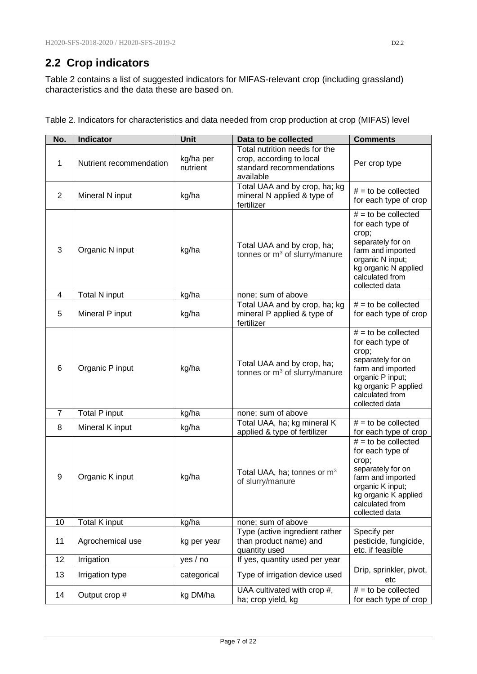## <span id="page-6-0"></span>**2.2 Crop indicators**

Table 2 contains a list of suggested indicators for MIFAS-relevant crop (including grassland) characteristics and the data these are based on.

| No.            | Indicator               | <b>Unit</b>           | Data to be collected                                                                               | <b>Comments</b>                                                                                                                                                               |
|----------------|-------------------------|-----------------------|----------------------------------------------------------------------------------------------------|-------------------------------------------------------------------------------------------------------------------------------------------------------------------------------|
| 1              | Nutrient recommendation | kg/ha per<br>nutrient | Total nutrition needs for the<br>crop, according to local<br>standard recommendations<br>available | Per crop type                                                                                                                                                                 |
| $\overline{2}$ | Mineral N input         | kg/ha                 | Total UAA and by crop, ha; kg<br>mineral N applied & type of<br>fertilizer                         | $#$ = to be collected<br>for each type of crop                                                                                                                                |
| 3              | Organic N input         | kg/ha                 | Total UAA and by crop, ha;<br>tonnes or $m^3$ of slurry/manure                                     | $#$ = to be collected<br>for each type of<br>crop;<br>separately for on<br>farm and imported<br>organic N input;<br>kg organic N applied<br>calculated from<br>collected data |
| 4              | <b>Total N input</b>    | kg/ha                 | none; sum of above                                                                                 |                                                                                                                                                                               |
| 5              | Mineral P input         | kg/ha                 | Total UAA and by crop, ha; kg<br>mineral P applied & type of<br>fertilizer                         | $# =$ to be collected<br>for each type of crop                                                                                                                                |
| 6              | Organic P input         | kg/ha                 | Total UAA and by crop, ha;<br>tonnes or $m^3$ of slurry/manure                                     | $#$ = to be collected<br>for each type of<br>crop;<br>separately for on<br>farm and imported<br>organic P input;<br>kg organic P applied<br>calculated from<br>collected data |
| $\overline{7}$ | Total P input           | kg/ha                 | none; sum of above                                                                                 |                                                                                                                                                                               |
| 8              | Mineral K input         | kg/ha                 | Total UAA, ha; kg mineral K<br>applied & type of fertilizer                                        | $#$ = to be collected<br>for each type of crop                                                                                                                                |
| 9              | Organic K input         | kg/ha                 | Total UAA, ha; tonnes or $m3$<br>of slurry/manure                                                  | $#$ = to be collected<br>for each type of<br>crop;<br>separately for on<br>farm and imported<br>organic K input;<br>kg organic K applied<br>calculated from<br>collected data |
| 10             | Total K input           | kg/ha                 | none; sum of above                                                                                 |                                                                                                                                                                               |
| 11             | Agrochemical use        | kg per year           | Type (active ingredient rather<br>than product name) and<br>quantity used                          | Specify per<br>pesticide, fungicide,<br>etc. if feasible                                                                                                                      |
| 12             | Irrigation              | yes / no              | If yes, quantity used per year                                                                     |                                                                                                                                                                               |
| 13             | Irrigation type         | categorical           | Type of irrigation device used                                                                     | Drip, sprinkler, pivot,<br>etc                                                                                                                                                |
| 14             | Output crop #           | kg DM/ha              | UAA cultivated with crop #,<br>ha; crop yield, kg                                                  | $#$ = to be collected<br>for each type of crop                                                                                                                                |

Table 2. Indicators for characteristics and data needed from crop production at crop (MIFAS) level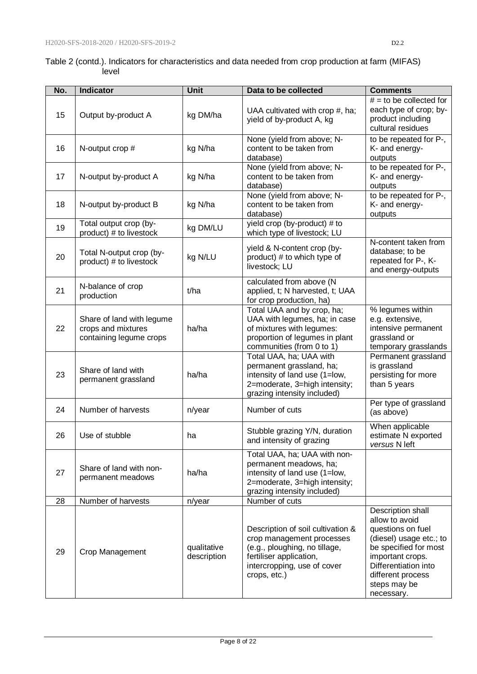#### Table 2 (contd.). Indicators for characteristics and data needed from crop production at farm (MIFAS) level

| No. | <b>Indicator</b>                                                           | Unit                       | Data to be collected                                                                                                                                                      | <b>Comments</b>                                                                                                                                                                                             |
|-----|----------------------------------------------------------------------------|----------------------------|---------------------------------------------------------------------------------------------------------------------------------------------------------------------------|-------------------------------------------------------------------------------------------------------------------------------------------------------------------------------------------------------------|
| 15  | Output by-product A                                                        | kg DM/ha                   | UAA cultivated with crop #, ha;<br>yield of by-product A, kg                                                                                                              | $#$ = to be collected for<br>each type of crop; by-<br>product including<br>cultural residues                                                                                                               |
| 16  | N-output crop #                                                            | kg N/ha                    | None (yield from above; N-<br>content to be taken from<br>database)                                                                                                       | to be repeated for P-,<br>K- and energy-<br>outputs                                                                                                                                                         |
| 17  | N-output by-product A                                                      | kg N/ha                    | None (yield from above; N-<br>content to be taken from<br>database)                                                                                                       | to be repeated for P-,<br>K- and energy-<br>outputs                                                                                                                                                         |
| 18  | N-output by-product B                                                      | kg N/ha                    | None (yield from above; N-<br>content to be taken from<br>database)                                                                                                       | to be repeated for P-,<br>K- and energy-<br>outputs                                                                                                                                                         |
| 19  | Total output crop (by-<br>product) # to livestock                          | kg DM/LU                   | yield crop (by-product) # to<br>which type of livestock; LU                                                                                                               |                                                                                                                                                                                                             |
| 20  | Total N-output crop (by-<br>product) # to livestock                        | kg N/LU                    | yield & N-content crop (by-<br>product) # to which type of<br>livestock; LU                                                                                               | N-content taken from<br>database; to be<br>repeated for P-, K-<br>and energy-outputs                                                                                                                        |
| 21  | N-balance of crop<br>production                                            | t/ha                       | calculated from above (N<br>applied, t; N harvested, t; UAA<br>for crop production, ha)                                                                                   |                                                                                                                                                                                                             |
| 22  | Share of land with legume<br>crops and mixtures<br>containing legume crops | ha/ha                      | Total UAA and by crop, ha;<br>UAA with legumes, ha; in case<br>of mixtures with legumes:<br>proportion of legumes in plant<br>communities (from 0 to 1)                   | % legumes within<br>e.g. extensive,<br>intensive permanent<br>grassland or<br>temporary grasslands                                                                                                          |
| 23  | Share of land with<br>permanent grassland                                  | ha/ha                      | Total UAA, ha; UAA with<br>permanent grassland, ha;<br>intensity of land use (1=low,<br>2=moderate, 3=high intensity;<br>grazing intensity included)                      | Permanent grassland<br>is grassland<br>persisting for more<br>than 5 years                                                                                                                                  |
| 24  | Number of harvests                                                         | n/year                     | Number of cuts                                                                                                                                                            | Per type of grassland<br>(as above)                                                                                                                                                                         |
| 26  | Use of stubble                                                             | ha                         | Stubble grazing Y/N, duration<br>and intensity of grazing                                                                                                                 | When applicable<br>estimate N exported<br>versus N left                                                                                                                                                     |
| 27  | Share of land with non-<br>permanent meadows                               | ha/ha                      | Total UAA, ha; UAA with non-<br>permanent meadows, ha;<br>intensity of land use (1=low,<br>2=moderate, 3=high intensity;<br>grazing intensity included)                   |                                                                                                                                                                                                             |
| 28  | Number of harvests                                                         | n/year                     | Number of cuts                                                                                                                                                            |                                                                                                                                                                                                             |
| 29  | Crop Management                                                            | qualitative<br>description | Description of soil cultivation &<br>crop management processes<br>(e.g., ploughing, no tillage,<br>fertiliser application,<br>intercropping, use of cover<br>crops, etc.) | Description shall<br>allow to avoid<br>questions on fuel<br>(diesel) usage etc.; to<br>be specified for most<br>important crops.<br>Differentiation into<br>different process<br>steps may be<br>necessary. |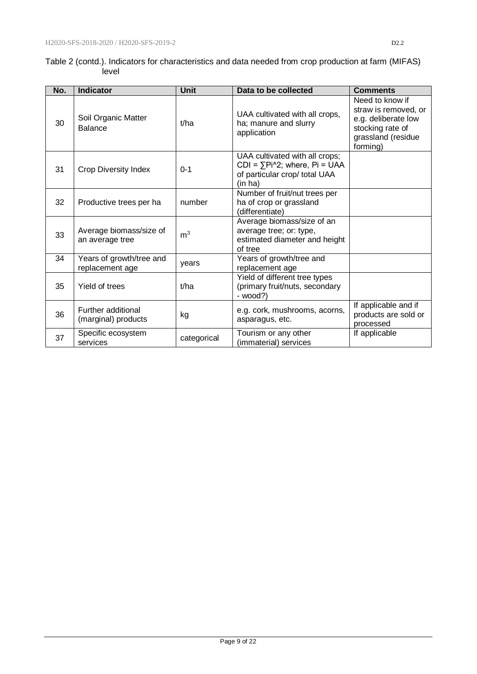|       | Table 2 (contd.). Indicators for characteristics and data needed from crop production at farm (MIFAS) |  |
|-------|-------------------------------------------------------------------------------------------------------|--|
| level |                                                                                                       |  |

| No. | <b>Indicator</b>                            | Unit           | Data to be collected                                                                                                | <b>Comments</b>                                                                                                      |
|-----|---------------------------------------------|----------------|---------------------------------------------------------------------------------------------------------------------|----------------------------------------------------------------------------------------------------------------------|
| 30  | Soil Organic Matter<br><b>Balance</b>       | t/ha           | UAA cultivated with all crops,<br>ha; manure and slurry<br>application                                              | Need to know if<br>straw is removed, or<br>e.g. deliberate low<br>stocking rate of<br>grassland (residue<br>forming) |
| 31  | <b>Crop Diversity Index</b>                 | $0 - 1$        | UAA cultivated with all crops;<br>$CDI = \sum Pi^2$ ; where, $Pi = UAA$<br>of particular crop/ total UAA<br>(in ha) |                                                                                                                      |
| 32  | Productive trees per ha                     | number         | Number of fruit/nut trees per<br>ha of crop or grassland<br>(differentiate)                                         |                                                                                                                      |
| 33  | Average biomass/size of<br>an average tree  | m <sup>3</sup> | Average biomass/size of an<br>average tree; or: type,<br>estimated diameter and height<br>of tree                   |                                                                                                                      |
| 34  | Years of growth/tree and<br>replacement age | years          | Years of growth/tree and<br>replacement age                                                                         |                                                                                                                      |
| 35  | Yield of trees                              | t/ha           | Yield of different tree types<br>(primary fruit/nuts, secondary<br>- wood?)                                         |                                                                                                                      |
| 36  | Further additional<br>(marginal) products   | kg             | e.g. cork, mushrooms, acorns,<br>asparagus, etc.                                                                    | If applicable and if<br>products are sold or<br>processed                                                            |
| 37  | Specific ecosystem<br>services              | categorical    | Tourism or any other<br>(immaterial) services                                                                       | If applicable                                                                                                        |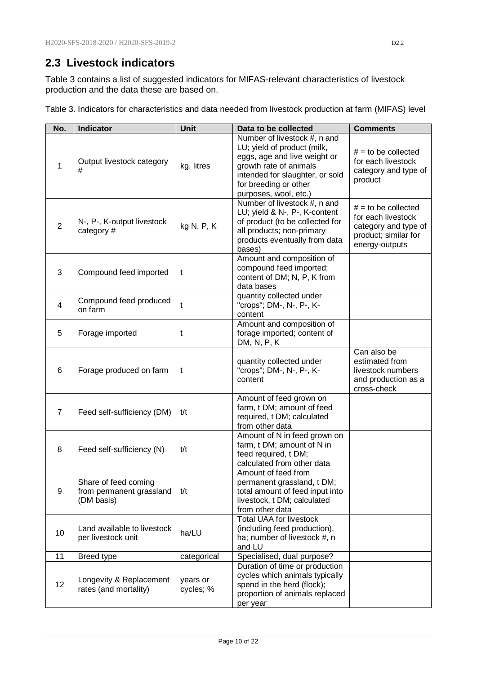### <span id="page-9-0"></span>**2.3 Livestock indicators**

Table 3 contains a list of suggested indicators for MIFAS-relevant characteristics of livestock production and the data these are based on.

|  | Table 3. Indicators for characteristics and data needed from livestock production at farm (MIFAS) level |  |  |  |
|--|---------------------------------------------------------------------------------------------------------|--|--|--|
|--|---------------------------------------------------------------------------------------------------------|--|--|--|

| No.            | <b>Indicator</b>                                               | Unit                  | Data to be collected                                                                                                                                                                                       | <b>Comments</b>                                                                                               |
|----------------|----------------------------------------------------------------|-----------------------|------------------------------------------------------------------------------------------------------------------------------------------------------------------------------------------------------------|---------------------------------------------------------------------------------------------------------------|
| 1              | Output livestock category<br>#                                 | kg, litres            | Number of livestock #, n and<br>LU; yield of product (milk,<br>eggs, age and live weight or<br>growth rate of animals<br>intended for slaughter, or sold<br>for breeding or other<br>purposes, wool, etc.) | $#$ = to be collected<br>for each livestock<br>category and type of<br>product                                |
| $\overline{2}$ | N-, P-, K-output livestock<br>category #                       | kg N, P, K            | Number of livestock #, n and<br>LU; yield & N-, P-, K-content<br>of product (to be collected for<br>all products; non-primary<br>products eventually from data<br>bases)                                   | $#$ = to be collected<br>for each livestock<br>category and type of<br>product; similar for<br>energy-outputs |
| 3              | Compound feed imported                                         | t                     | Amount and composition of<br>compound feed imported;<br>content of DM; N, P, K from<br>data bases                                                                                                          |                                                                                                               |
| 4              | Compound feed produced<br>on farm                              | $\mathfrak t$         | quantity collected under<br>"crops"; DM-, N-, P-, K-<br>content                                                                                                                                            |                                                                                                               |
| 5              | Forage imported                                                | t                     | Amount and composition of<br>forage imported; content of<br>DM, N, P, K                                                                                                                                    |                                                                                                               |
| 6              | Forage produced on farm                                        | t                     | quantity collected under<br>"crops"; DM-, N-, P-, K-<br>content                                                                                                                                            | Can also be<br>estimated from<br>livestock numbers<br>and production as a<br>cross-check                      |
| $\overline{7}$ | Feed self-sufficiency (DM)                                     | t/t                   | Amount of feed grown on<br>farm, t DM; amount of feed<br>required, t DM; calculated<br>from other data                                                                                                     |                                                                                                               |
| 8              | Feed self-sufficiency (N)                                      | t/t                   | Amount of N in feed grown on<br>farm, t DM; amount of N in<br>feed required, t DM;<br>calculated from other data                                                                                           |                                                                                                               |
| 9              | Share of feed coming<br>from permanent grassland<br>(DM basis) | t/t                   | Amount of feed from<br>permanent grassland, t DM;<br>total amount of feed input into<br>livestock, t DM; calculated<br>from other data                                                                     |                                                                                                               |
| 10             | Land available to livestock<br>per livestock unit              | ha/LU                 | <b>Total UAA for livestock</b><br>(including feed production),<br>ha; number of livestock #, n<br>and LU                                                                                                   |                                                                                                               |
| 11             | Breed type                                                     | categorical           | Specialised, dual purpose?                                                                                                                                                                                 |                                                                                                               |
| 12             | Longevity & Replacement<br>rates (and mortality)               | years or<br>cycles; % | Duration of time or production<br>cycles which animals typically<br>spend in the herd (flock);<br>proportion of animals replaced<br>per year                                                               |                                                                                                               |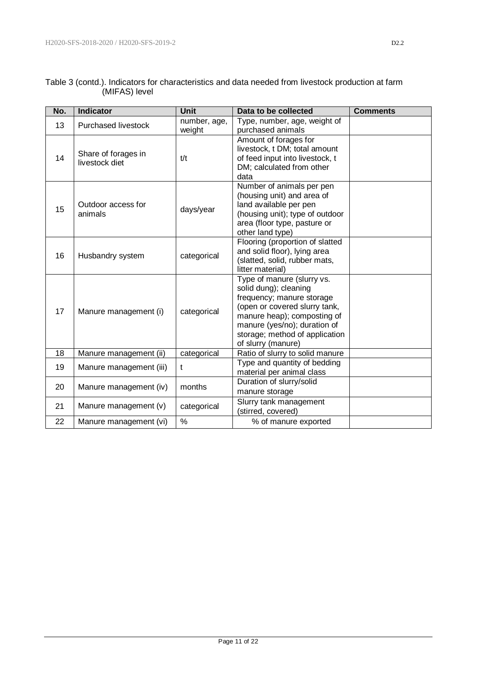| No. | <b>Indicator</b>        | <b>Unit</b>  | Data to be collected                                          | <b>Comments</b> |
|-----|-------------------------|--------------|---------------------------------------------------------------|-----------------|
| 13  | Purchased livestock     | number, age, | Type, number, age, weight of                                  |                 |
|     |                         | weight       | purchased animals                                             |                 |
|     |                         |              | Amount of forages for                                         |                 |
|     | Share of forages in     |              | livestock, t DM; total amount                                 |                 |
| 14  | livestock diet          | t/t          | of feed input into livestock, t<br>DM; calculated from other  |                 |
|     |                         |              | data                                                          |                 |
|     |                         |              | Number of animals per pen                                     |                 |
|     |                         |              | (housing unit) and area of                                    |                 |
| 15  | Outdoor access for      | days/year    | land available per pen                                        |                 |
|     | animals                 |              | (housing unit); type of outdoor                               |                 |
|     |                         |              | area (floor type, pasture or                                  |                 |
|     |                         |              | other land type)                                              |                 |
|     |                         |              | Flooring (proportion of slatted                               |                 |
| 16  | Husbandry system        | categorical  | and solid floor), lying area<br>(slatted, solid, rubber mats, |                 |
|     |                         |              | litter material)                                              |                 |
|     |                         |              | Type of manure (slurry vs.                                    |                 |
|     | Manure management (i)   |              | solid dung); cleaning                                         |                 |
|     |                         |              | frequency; manure storage                                     |                 |
| 17  |                         | categorical  | (open or covered slurry tank,                                 |                 |
|     |                         |              | manure heap); composting of                                   |                 |
|     |                         |              | manure (yes/no); duration of                                  |                 |
|     |                         |              | storage; method of application<br>of slurry (manure)          |                 |
| 18  | Manure management (ii)  | categorical  | Ratio of slurry to solid manure                               |                 |
|     |                         |              | Type and quantity of bedding                                  |                 |
| 19  | Manure management (iii) | t            | material per animal class                                     |                 |
|     |                         |              | Duration of slurry/solid                                      |                 |
| 20  | Manure management (iv)  | months       | manure storage                                                |                 |
| 21  | Manure management (v)   | categorical  | Slurry tank management                                        |                 |
|     |                         |              | (stirred, covered)                                            |                 |
| 22  | Manure management (vi)  | $\%$         | % of manure exported                                          |                 |

|               | Table 3 (contd.). Indicators for characteristics and data needed from livestock production at farm |  |
|---------------|----------------------------------------------------------------------------------------------------|--|
| (MIFAS) level |                                                                                                    |  |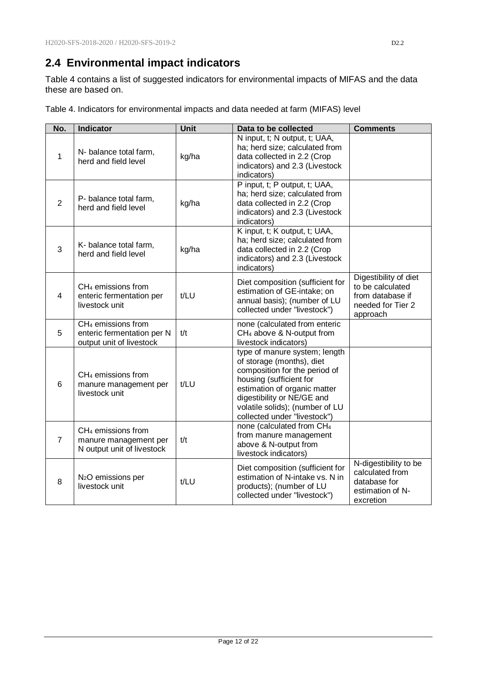## <span id="page-11-0"></span>**2.4 Environmental impact indicators**

Table 4 contains a list of suggested indicators for environmental impacts of MIFAS and the data these are based on.

| No.            | <b>Indicator</b>                                                                         | Unit  | Data to be collected                                                                                                                                                                                                                                    | <b>Comments</b>                                                                                |
|----------------|------------------------------------------------------------------------------------------|-------|---------------------------------------------------------------------------------------------------------------------------------------------------------------------------------------------------------------------------------------------------------|------------------------------------------------------------------------------------------------|
| 1              | N- balance total farm,<br>herd and field level                                           | kg/ha | N input, t; N output, t; UAA,<br>ha; herd size; calculated from<br>data collected in 2.2 (Crop<br>indicators) and 2.3 (Livestock<br>indicators)                                                                                                         |                                                                                                |
| $\overline{2}$ | P- balance total farm,<br>herd and field level                                           | kg/ha | P input, t; P output, t; UAA,<br>ha; herd size; calculated from<br>data collected in 2.2 (Crop<br>indicators) and 2.3 (Livestock<br>indicators)                                                                                                         |                                                                                                |
| 3              | K- balance total farm,<br>herd and field level                                           | kg/ha | K input, t; K output, t; UAA,<br>ha; herd size; calculated from<br>data collected in 2.2 (Crop<br>indicators) and 2.3 (Livestock<br>indicators)                                                                                                         |                                                                                                |
| 4              | CH <sub>4</sub> emissions from<br>enteric fermentation per<br>livestock unit             | t/LU  | Diet composition (sufficient for<br>estimation of GE-intake; on<br>annual basis); (number of LU<br>collected under "livestock")                                                                                                                         | Digestibility of diet<br>to be calculated<br>from database if<br>needed for Tier 2<br>approach |
| 5              | CH <sub>4</sub> emissions from<br>enteric fermentation per N<br>output unit of livestock | t/t   | none (calculated from enteric<br>CH <sub>4</sub> above & N-output from<br>livestock indicators)                                                                                                                                                         |                                                                                                |
| 6              | CH <sub>4</sub> emissions from<br>manure management per<br>livestock unit                | t/LU  | type of manure system; length<br>of storage (months), diet<br>composition for the period of<br>housing (sufficient for<br>estimation of organic matter<br>digestibility or NE/GE and<br>volatile solids); (number of LU<br>collected under "livestock") |                                                                                                |
| 7              | CH <sub>4</sub> emissions from<br>manure management per<br>N output unit of livestock    | t/t   | none (calculated from CH <sub>4</sub><br>from manure management<br>above & N-output from<br>livestock indicators)                                                                                                                                       |                                                                                                |
| 8              | N <sub>2</sub> O emissions per<br>livestock unit                                         | t/LU  | Diet composition (sufficient for<br>estimation of N-intake vs. N in<br>products); (number of LU<br>collected under "livestock")                                                                                                                         | N-digestibility to be<br>calculated from<br>database for<br>estimation of N-<br>excretion      |

Table 4. Indicators for environmental impacts and data needed at farm (MIFAS) level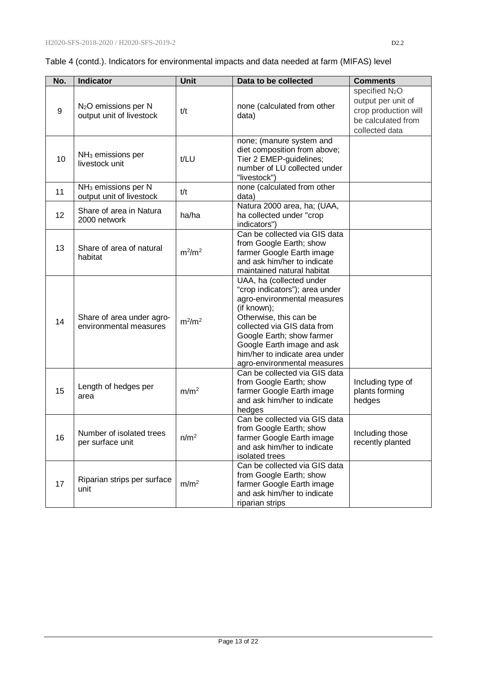|  | Table 4 (contd.). Indicators for environmental impacts and data needed at farm (MIFAS) level |  |
|--|----------------------------------------------------------------------------------------------|--|
|  |                                                                                              |  |

| No. | <b>Indicator</b>                                             | Unit             | Data to be collected                                                                                                                                                                                                                                                                          | <b>Comments</b>                                                                                                  |
|-----|--------------------------------------------------------------|------------------|-----------------------------------------------------------------------------------------------------------------------------------------------------------------------------------------------------------------------------------------------------------------------------------------------|------------------------------------------------------------------------------------------------------------------|
| 9   | N <sub>2</sub> O emissions per N<br>output unit of livestock | t/t              | none (calculated from other<br>data)                                                                                                                                                                                                                                                          | specified N <sub>2</sub> O<br>output per unit of<br>crop production will<br>be calculated from<br>collected data |
| 10  | $NH3$ emissions per<br>livestock unit                        | t/LU             | none; (manure system and<br>diet composition from above;<br>Tier 2 EMEP-guidelines;<br>number of LU collected under<br>"livestock")                                                                                                                                                           |                                                                                                                  |
| 11  | NH <sub>3</sub> emissions per N<br>output unit of livestock  | t/t              | none (calculated from other<br>data)                                                                                                                                                                                                                                                          |                                                                                                                  |
| 12  | Share of area in Natura<br>2000 network                      | ha/ha            | Natura 2000 area, ha; (UAA,<br>ha collected under "crop<br>indicators")                                                                                                                                                                                                                       |                                                                                                                  |
| 13  | Share of area of natural<br>habitat                          | $m^2/m^2$        | Can be collected via GIS data<br>from Google Earth; show<br>farmer Google Earth image<br>and ask him/her to indicate<br>maintained natural habitat                                                                                                                                            |                                                                                                                  |
| 14  | Share of area under agro-<br>environmental measures          | $m^2/m^2$        | UAA, ha (collected under<br>"crop indicators"); area under<br>agro-environmental measures<br>(if known);<br>Otherwise, this can be<br>collected via GIS data from<br>Google Earth; show farmer<br>Google Earth image and ask<br>him/her to indicate area under<br>agro-environmental measures |                                                                                                                  |
| 15  | Length of hedges per<br>area                                 | m/m <sup>2</sup> | Can be collected via GIS data<br>from Google Earth; show<br>farmer Google Earth image<br>and ask him/her to indicate<br>hedges                                                                                                                                                                | Including type of<br>plants forming<br>hedges                                                                    |
| 16  | Number of isolated trees<br>per surface unit                 | n/m <sup>2</sup> | Can be collected via GIS data<br>from Google Earth; show<br>farmer Google Earth image<br>and ask him/her to indicate<br>isolated trees                                                                                                                                                        | Including those<br>recently planted                                                                              |
| 17  | Riparian strips per surface<br>unit                          | m/m <sup>2</sup> | Can be collected via GIS data<br>from Google Earth; show<br>farmer Google Earth image<br>and ask him/her to indicate<br>riparian strips                                                                                                                                                       |                                                                                                                  |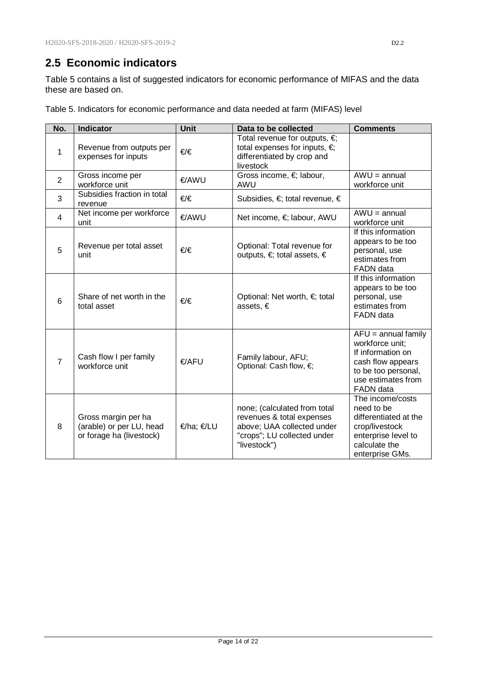### <span id="page-13-0"></span>**2.5 Economic indicators**

Table 5 contains a list of suggested indicators for economic performance of MIFAS and the data these are based on.

| No.            | <b>Indicator</b>                                                            | <b>Unit</b>  | Data to be collected                                                                                                                   | <b>Comments</b>                                                                                                                              |
|----------------|-----------------------------------------------------------------------------|--------------|----------------------------------------------------------------------------------------------------------------------------------------|----------------------------------------------------------------------------------------------------------------------------------------------|
| 1              | Revenue from outputs per<br>expenses for inputs                             | €∕€          | Total revenue for outputs, $\in$<br>total expenses for inputs, $\in$<br>differentiated by crop and<br>livestock                        |                                                                                                                                              |
| $\overline{2}$ | Gross income per<br>workforce unit                                          | €/AWU        | Gross income, € labour,<br>AWU                                                                                                         | $AWU = annual$<br>workforce unit                                                                                                             |
| 3              | Subsidies fraction in total<br>revenue                                      | €∕€          | Subsidies, $\in$ total revenue, $\in$                                                                                                  |                                                                                                                                              |
| $\overline{4}$ | Net income per workforce<br>unit                                            | €/AWU        | Net income, €; labour, AWU                                                                                                             | $AWU = annual$<br>workforce unit                                                                                                             |
| 5              | Revenue per total asset<br>unit                                             | €/€          | Optional: Total revenue for<br>outputs, €; total assets, €                                                                             | If this information<br>appears to be too<br>personal, use<br>estimates from<br>FADN data                                                     |
| 6              | Share of net worth in the<br>total asset                                    | €∕€          | Optional: Net worth, $\in$ total<br>assets, €                                                                                          | If this information<br>appears to be too<br>personal, use<br>estimates from<br><b>FADN</b> data                                              |
| $\overline{7}$ | Cash flow I per family<br>workforce unit                                    | <b>€/AFU</b> | Family labour, AFU;<br>Optional: Cash flow, €;                                                                                         | $AFU =$ annual family<br>workforce unit;<br>If information on<br>cash flow appears<br>to be too personal,<br>use estimates from<br>FADN data |
| 8              | Gross margin per ha<br>(arable) or per LU, head<br>or forage ha (livestock) | €/ha; €/LU   | none; (calculated from total<br>revenues & total expenses<br>above; UAA collected under<br>"crops"; LU collected under<br>"livestock") | The income/costs<br>need to be<br>differentiated at the<br>crop/livestock<br>enterprise level to<br>calculate the<br>enterprise GMs.         |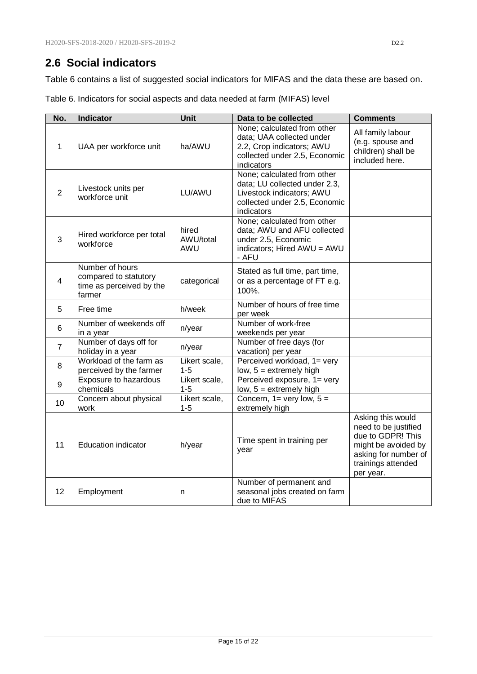### <span id="page-14-0"></span>**2.6 Social indicators**

Table 6 contains a list of suggested social indicators for MIFAS and the data these are based on.

Table 6. Indicators for social aspects and data needed at farm (MIFAS) level

| No.            | <b>Indicator</b>                                                               | Unit                      | Data to be collected                                                                                                                     | <b>Comments</b>                                                                                                                                  |
|----------------|--------------------------------------------------------------------------------|---------------------------|------------------------------------------------------------------------------------------------------------------------------------------|--------------------------------------------------------------------------------------------------------------------------------------------------|
| 1              | UAA per workforce unit                                                         | ha/AWU                    | None; calculated from other<br>data; UAA collected under<br>2.2, Crop indicators; AWU<br>collected under 2.5, Economic<br>indicators     | All family labour<br>(e.g. spouse and<br>children) shall be<br>included here.                                                                    |
| $\overline{2}$ | Livestock units per<br>workforce unit                                          | LU/AWU                    | None; calculated from other<br>data; LU collected under 2.3,<br>Livestock indicators; AWU<br>collected under 2.5, Economic<br>indicators |                                                                                                                                                  |
| 3              | Hired workforce per total<br>workforce                                         | hired<br>AWU/total<br>AWU | None; calculated from other<br>data; AWU and AFU collected<br>under 2.5, Economic<br>indicators; Hired AWU = AWU<br>- AFU                |                                                                                                                                                  |
| 4              | Number of hours<br>compared to statutory<br>time as perceived by the<br>farmer | categorical               | Stated as full time, part time,<br>or as a percentage of FT e.g.<br>100%.                                                                |                                                                                                                                                  |
| 5              | Free time                                                                      | h/week                    | Number of hours of free time<br>per week                                                                                                 |                                                                                                                                                  |
| 6              | Number of weekends off<br>in a year                                            | n/year                    | Number of work-free<br>weekends per year                                                                                                 |                                                                                                                                                  |
| $\overline{7}$ | Number of days off for<br>holiday in a year                                    | n/year                    | Number of free days (for<br>vacation) per year                                                                                           |                                                                                                                                                  |
| 8              | Workload of the farm as<br>perceived by the farmer                             | Likert scale,<br>$1 - 5$  | Perceived workload, 1= very<br>low, $5 =$ extremely high                                                                                 |                                                                                                                                                  |
| 9              | Exposure to hazardous<br>chemicals                                             | Likert scale,<br>$1 - 5$  | Perceived exposure, 1= very<br>low, $5 =$ extremely high                                                                                 |                                                                                                                                                  |
| 10             | Concern about physical<br>work                                                 | Likert scale,<br>$1 - 5$  | Concern, $1 = \text{very low}, 5 =$<br>extremely high                                                                                    |                                                                                                                                                  |
| 11             | <b>Education indicator</b>                                                     | h/year                    | Time spent in training per<br>year                                                                                                       | Asking this would<br>need to be justified<br>due to GDPR! This<br>might be avoided by<br>asking for number of<br>trainings attended<br>per year. |
| 12             | Employment                                                                     | n                         | Number of permanent and<br>seasonal jobs created on farm<br>due to MIFAS                                                                 |                                                                                                                                                  |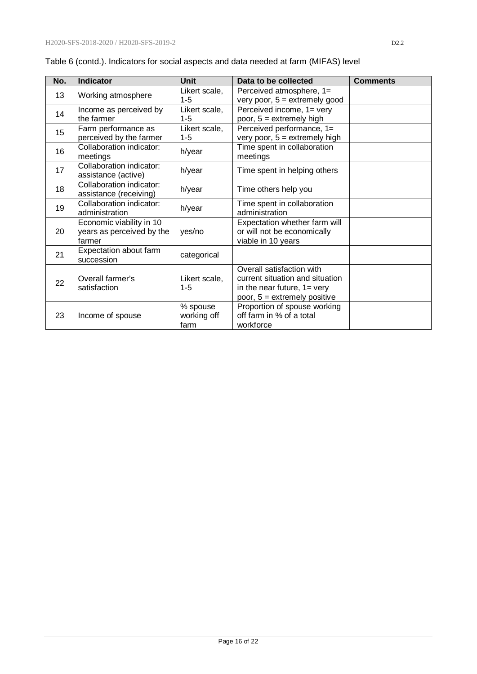| No. | <b>Indicator</b>                                                | <b>Unit</b>                     | Data to be collected                                                                                                                    | <b>Comments</b> |
|-----|-----------------------------------------------------------------|---------------------------------|-----------------------------------------------------------------------------------------------------------------------------------------|-----------------|
| 13  | Working atmosphere                                              | Likert scale,<br>$1 - 5$        | Perceived atmosphere, 1=<br>very poor, $5 =$ extremely good                                                                             |                 |
| 14  | Income as perceived by<br>the farmer                            | Likert scale,<br>$1 - 5$        | Perceived income, 1= very<br>poor, $5 =$ extremely high                                                                                 |                 |
| 15  | Farm performance as<br>perceived by the farmer                  | Likert scale,<br>$1 - 5$        | Perceived performance, 1=<br>very poor, $5 =$ extremely high                                                                            |                 |
| 16  | Collaboration indicator:<br>meetings                            | h/year                          | Time spent in collaboration<br>meetings                                                                                                 |                 |
| 17  | Collaboration indicator:<br>assistance (active)                 | h/year                          | Time spent in helping others                                                                                                            |                 |
| 18  | Collaboration indicator:<br>assistance (receiving)              | h/year                          | Time others help you                                                                                                                    |                 |
| 19  | Collaboration indicator:<br>administration                      | h/year                          | Time spent in collaboration<br>administration                                                                                           |                 |
| 20  | Economic viability in 10<br>years as perceived by the<br>farmer | yes/no                          | Expectation whether farm will<br>or will not be economically<br>viable in 10 years                                                      |                 |
| 21  | Expectation about farm<br>succession                            | categorical                     |                                                                                                                                         |                 |
| 22  | Overall farmer's<br>satisfaction                                | Likert scale,<br>$1 - 5$        | Overall satisfaction with<br>current situation and situation<br>in the near future, $1 = \text{very}$<br>poor, $5 =$ extremely positive |                 |
| 23  | Income of spouse                                                | % spouse<br>working off<br>farm | Proportion of spouse working<br>off farm in % of a total<br>workforce                                                                   |                 |

|  | Table 6 (contd.). Indicators for social aspects and data needed at farm (MIFAS) level |
|--|---------------------------------------------------------------------------------------|
|  |                                                                                       |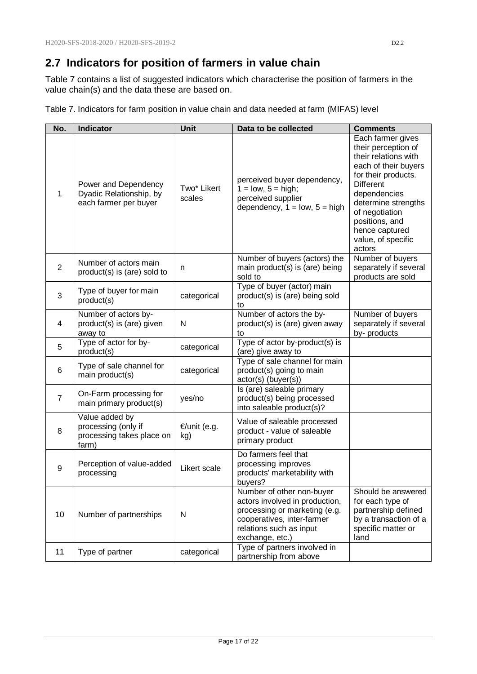## <span id="page-16-0"></span>**2.7 Indicators for position of farmers in value chain**

Table 7 contains a list of suggested indicators which characterise the position of farmers in the value chain(s) and the data these are based on.

|  |  |  |  | Table 7. Indicators for farm position in value chain and data needed at farm (MIFAS) level |
|--|--|--|--|--------------------------------------------------------------------------------------------|
|--|--|--|--|--------------------------------------------------------------------------------------------|

| No.            | <b>Indicator</b>                                                            | Unit                  | Data to be collected                                                                                                                                                     | <b>Comments</b>                                                                                                                                                                                                                                                  |
|----------------|-----------------------------------------------------------------------------|-----------------------|--------------------------------------------------------------------------------------------------------------------------------------------------------------------------|------------------------------------------------------------------------------------------------------------------------------------------------------------------------------------------------------------------------------------------------------------------|
| $\mathbf{1}$   | Power and Dependency<br>Dyadic Relationship, by<br>each farmer per buyer    | Two* Likert<br>scales | perceived buyer dependency,<br>$1 = low, 5 = high;$<br>perceived supplier<br>dependency, $1 = low$ , $5 = high$                                                          | Each farmer gives<br>their perception of<br>their relations with<br>each of their buyers<br>for their products.<br><b>Different</b><br>dependencies<br>determine strengths<br>of negotiation<br>positions, and<br>hence captured<br>value, of specific<br>actors |
| $\overline{2}$ | Number of actors main<br>product(s) is (are) sold to                        | n                     | Number of buyers (actors) the<br>main product(s) is (are) being<br>sold to                                                                                               | Number of buyers<br>separately if several<br>products are sold                                                                                                                                                                                                   |
| 3              | Type of buyer for main<br>product(s)                                        | categorical           | Type of buyer (actor) main<br>product(s) is (are) being sold<br>to                                                                                                       |                                                                                                                                                                                                                                                                  |
| 4              | Number of actors by-<br>product(s) is (are) given<br>away to                | N                     | Number of actors the by-<br>product(s) is (are) given away<br>to                                                                                                         | Number of buyers<br>separately if several<br>by-products                                                                                                                                                                                                         |
| 5              | Type of actor for by-<br>product(s)                                         | categorical           | Type of actor by-product(s) is<br>(are) give away to                                                                                                                     |                                                                                                                                                                                                                                                                  |
| 6              | Type of sale channel for<br>main product(s)                                 | categorical           | Type of sale channel for main<br>product(s) going to main<br>actor(s) (buyer(s))                                                                                         |                                                                                                                                                                                                                                                                  |
| $\overline{7}$ | On-Farm processing for<br>main primary product(s)                           | yes/no                | Is (are) saleable primary<br>product(s) being processed<br>into saleable product(s)?                                                                                     |                                                                                                                                                                                                                                                                  |
| 8              | Value added by<br>processing (only if<br>processing takes place on<br>farm) | €/unit (e.g.<br>kg)   | Value of saleable processed<br>product - value of saleable<br>primary product                                                                                            |                                                                                                                                                                                                                                                                  |
| 9              | Perception of value-added<br>processing                                     | Likert scale          | Do farmers feel that<br>processing improves<br>products' marketability with<br>buyers?                                                                                   |                                                                                                                                                                                                                                                                  |
| 10             | Number of partnerships                                                      | N                     | Number of other non-buyer<br>actors involved in production,<br>processing or marketing (e.g.<br>cooperatives, inter-farmer<br>relations such as input<br>exchange, etc.) | Should be answered<br>for each type of<br>partnership defined<br>by a transaction of a<br>specific matter or<br>land                                                                                                                                             |
| 11             | Type of partner                                                             | categorical           | Type of partners involved in<br>partnership from above                                                                                                                   |                                                                                                                                                                                                                                                                  |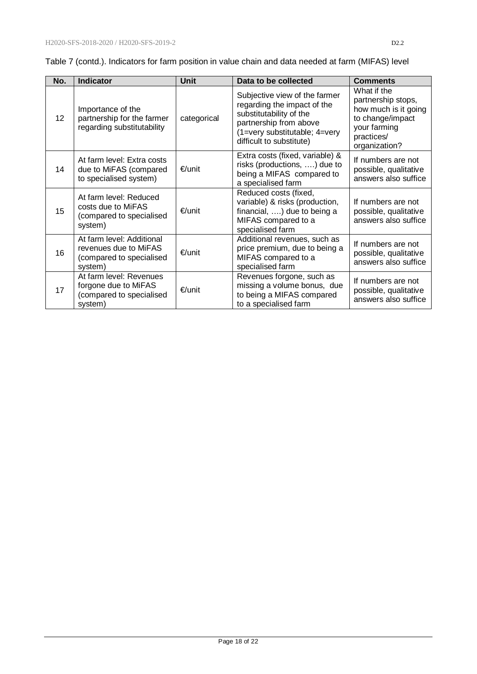| Table 7 (contd.). Indicators for farm position in value chain and data needed at farm (MIFAS) level |  |
|-----------------------------------------------------------------------------------------------------|--|
|-----------------------------------------------------------------------------------------------------|--|

| No. | <b>Indicator</b>                                                                          | Unit        | Data to be collected                                                                                                                                                           | <b>Comments</b>                                                                                                              |
|-----|-------------------------------------------------------------------------------------------|-------------|--------------------------------------------------------------------------------------------------------------------------------------------------------------------------------|------------------------------------------------------------------------------------------------------------------------------|
| 12  | Importance of the<br>partnership for the farmer<br>regarding substitutability             | categorical | Subjective view of the farmer<br>regarding the impact of the<br>substitutability of the<br>partnership from above<br>(1=very substitutable; 4=very<br>difficult to substitute) | What if the<br>partnership stops,<br>how much is it going<br>to change/impact<br>your farming<br>practices/<br>organization? |
| 14  | At farm level: Extra costs<br>due to MiFAS (compared<br>to specialised system)            | $€/$ unit   | Extra costs (fixed, variable) &<br>risks (productions, ) due to<br>being a MIFAS compared to<br>a specialised farm                                                             | If numbers are not<br>possible, qualitative<br>answers also suffice                                                          |
| 15  | At farm level: Reduced<br>costs due to MiFAS<br>(compared to specialised<br>system)       | €/unit      | Reduced costs (fixed,<br>variable) & risks (production,<br>financial, ) due to being a<br>MIFAS compared to a<br>specialised farm                                              | If numbers are not<br>possible, qualitative<br>answers also suffice                                                          |
| 16  | At farm level: Additional<br>revenues due to MiFAS<br>(compared to specialised<br>system) | €/unit      | Additional revenues, such as<br>price premium, due to being a<br>MIFAS compared to a<br>specialised farm                                                                       | If numbers are not<br>possible, qualitative<br>answers also suffice                                                          |
| 17  | At farm level: Revenues<br>forgone due to MiFAS<br>(compared to specialised<br>system)    | €/unit      | Revenues forgone, such as<br>missing a volume bonus, due<br>to being a MIFAS compared<br>to a specialised farm                                                                 | If numbers are not<br>possible, qualitative<br>answers also suffice                                                          |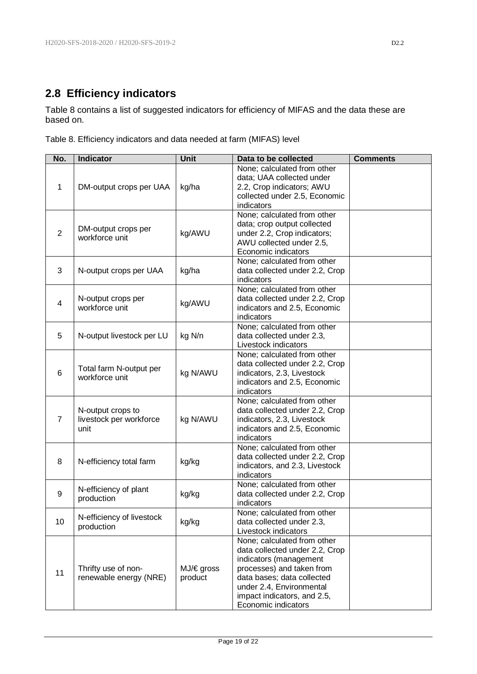## <span id="page-18-0"></span>**2.8 Efficiency indicators**

Table 8 contains a list of suggested indicators for efficiency of MIFAS and the data these are based on.

|  |  | Table 8. Efficiency indicators and data needed at farm (MIFAS) level |  |  |  |  |  |
|--|--|----------------------------------------------------------------------|--|--|--|--|--|
|--|--|----------------------------------------------------------------------|--|--|--|--|--|

| No.            | <b>Indicator</b>                                     | Unit                  | Data to be collected                                                                                                                                                                                                                 | <b>Comments</b> |
|----------------|------------------------------------------------------|-----------------------|--------------------------------------------------------------------------------------------------------------------------------------------------------------------------------------------------------------------------------------|-----------------|
| $\mathbf 1$    | DM-output crops per UAA                              | kg/ha                 | None; calculated from other<br>data; UAA collected under<br>2.2, Crop indicators; AWU<br>collected under 2.5, Economic<br>indicators                                                                                                 |                 |
| $\overline{2}$ | DM-output crops per<br>workforce unit                | kg/AWU                | None; calculated from other<br>data; crop output collected<br>under 2.2, Crop indicators;<br>AWU collected under 2.5,<br>Economic indicators                                                                                         |                 |
| 3              | N-output crops per UAA                               | kg/ha                 | None; calculated from other<br>data collected under 2.2, Crop<br>indicators                                                                                                                                                          |                 |
| 4              | N-output crops per<br>workforce unit                 | kg/AWU                | None; calculated from other<br>data collected under 2.2, Crop<br>indicators and 2.5, Economic<br>indicators                                                                                                                          |                 |
| 5              | N-output livestock per LU                            | kg N/n                | None; calculated from other<br>data collected under 2.3,<br>Livestock indicators                                                                                                                                                     |                 |
| 6              | Total farm N-output per<br>workforce unit            | kg N/AWU              | None; calculated from other<br>data collected under 2.2, Crop<br>indicators, 2.3, Livestock<br>indicators and 2.5, Economic<br>indicators                                                                                            |                 |
| $\overline{7}$ | N-output crops to<br>livestock per workforce<br>unit | kg N/AWU              | None; calculated from other<br>data collected under 2.2, Crop<br>indicators, 2.3, Livestock<br>indicators and 2.5, Economic<br>indicators                                                                                            |                 |
| 8              | N-efficiency total farm                              | kg/kg                 | None; calculated from other<br>data collected under 2.2, Crop<br>indicators, and 2.3, Livestock<br>indicators                                                                                                                        |                 |
| 9              | N-efficiency of plant<br>production                  | kg/kg                 | None; calculated from other<br>data collected under 2.2, Crop<br>indicators                                                                                                                                                          |                 |
| 10             | N-efficiency of livestock<br>production              | kg/kg                 | None; calculated from other<br>data collected under 2.3,<br>Livestock indicators                                                                                                                                                     |                 |
| 11             | Thrifty use of non-<br>renewable energy (NRE)        | MJ/€ gross<br>product | None; calculated from other<br>data collected under 2.2, Crop<br>indicators (management<br>processes) and taken from<br>data bases; data collected<br>under 2.4, Environmental<br>impact indicators, and 2.5,<br>Economic indicators |                 |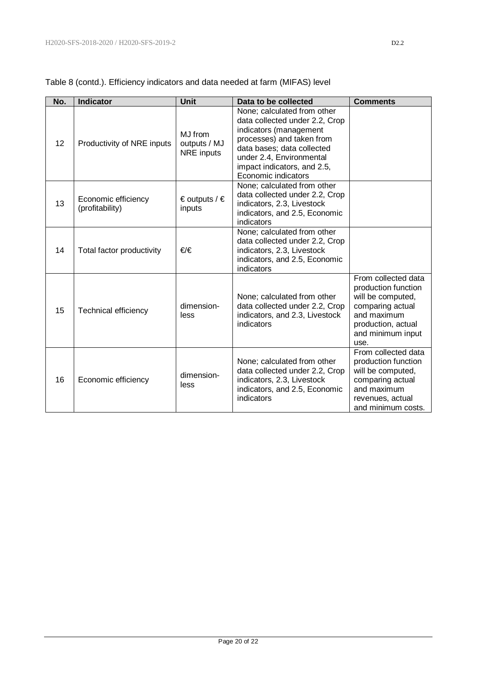|     |                                        | <b>Unit</b>                                  |                                                                                                                                                                                                                                      |                                                                                                                                                       |
|-----|----------------------------------------|----------------------------------------------|--------------------------------------------------------------------------------------------------------------------------------------------------------------------------------------------------------------------------------------|-------------------------------------------------------------------------------------------------------------------------------------------------------|
| No. | <b>Indicator</b>                       |                                              | Data to be collected                                                                                                                                                                                                                 | <b>Comments</b>                                                                                                                                       |
| 12  | Productivity of NRE inputs             | MJ from<br>outputs / MJ<br><b>NRE</b> inputs | None; calculated from other<br>data collected under 2.2, Crop<br>indicators (management<br>processes) and taken from<br>data bases; data collected<br>under 2.4, Environmental<br>impact indicators, and 2.5,<br>Economic indicators |                                                                                                                                                       |
| 13  | Economic efficiency<br>(profitability) | € outputs / $∈$<br>inputs                    | None; calculated from other<br>data collected under 2.2, Crop<br>indicators, 2.3, Livestock<br>indicators, and 2.5, Economic<br>indicators                                                                                           |                                                                                                                                                       |
| 14  | Total factor productivity              | €/€                                          | None; calculated from other<br>data collected under 2.2, Crop<br>indicators, 2.3, Livestock<br>indicators, and 2.5, Economic<br>indicators                                                                                           |                                                                                                                                                       |
| 15  | <b>Technical efficiency</b>            | dimension-<br>less                           | None; calculated from other<br>data collected under 2.2, Crop<br>indicators, and 2.3, Livestock<br>indicators                                                                                                                        | From collected data<br>production function<br>will be computed,<br>comparing actual<br>and maximum<br>production, actual<br>and minimum input<br>use. |
| 16  | Economic efficiency                    | dimension-<br>less                           | None; calculated from other<br>data collected under 2.2, Crop<br>indicators, 2.3, Livestock<br>indicators, and 2.5, Economic<br>indicators                                                                                           | From collected data<br>production function<br>will be computed,<br>comparing actual<br>and maximum<br>revenues, actual<br>and minimum costs.          |

Table 8 (contd.). Efficiency indicators and data needed at farm (MIFAS) level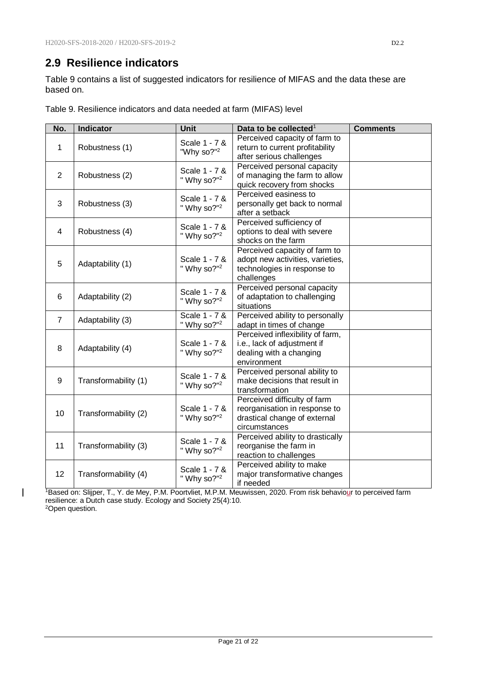### <span id="page-20-0"></span>**2.9 Resilience indicators**

 $\overline{1}$ 

Table 9 contains a list of suggested indicators for resilience of MIFAS and the data these are based on.

| No.            | <b>Indicator</b>     | Unit                                     | Data to be collected <sup>1</sup>                                                                              | <b>Comments</b> |
|----------------|----------------------|------------------------------------------|----------------------------------------------------------------------------------------------------------------|-----------------|
| 1              | Robustness (1)       | Scale 1 - 7 &<br>"Why so?" <sup>2</sup>  | Perceived capacity of farm to<br>return to current profitability<br>after serious challenges                   |                 |
| $\overline{2}$ | Robustness (2)       | Scale 1 - 7 &<br>" Why so?" <sup>2</sup> | Perceived personal capacity<br>of managing the farm to allow<br>quick recovery from shocks                     |                 |
| 3              | Robustness (3)       | Scale 1 - 7 &<br>" Why so?" $2$          | Perceived easiness to<br>personally get back to normal<br>after a setback                                      |                 |
| 4              | Robustness (4)       | Scale 1 - 7 &<br>" Why so?" <sup>2</sup> | Perceived sufficiency of<br>options to deal with severe<br>shocks on the farm                                  |                 |
| 5              | Adaptability (1)     | Scale 1 - 7 &<br>" Why so?" <sup>2</sup> | Perceived capacity of farm to<br>adopt new activities, varieties,<br>technologies in response to<br>challenges |                 |
| 6              | Adaptability (2)     | Scale 1 - 7 &<br>" Why so?" <sup>2</sup> | Perceived personal capacity<br>of adaptation to challenging<br>situations                                      |                 |
| $\overline{7}$ | Adaptability (3)     | Scale 1 - 7 &<br>" Why so?" <sup>2</sup> | Perceived ability to personally<br>adapt in times of change                                                    |                 |
| 8              | Adaptability (4)     | Scale 1 - 7 &<br>" Why so?" <sup>2</sup> | Perceived inflexibility of farm,<br>i.e., lack of adjustment if<br>dealing with a changing<br>environment      |                 |
| 9              | Transformability (1) | Scale 1 - 7 &<br>" Why so?" <sup>2</sup> | Perceived personal ability to<br>make decisions that result in<br>transformation                               |                 |
| 10             | Transformability (2) | Scale 1 - 7 &<br>" Why so?" <sup>2</sup> | Perceived difficulty of farm<br>reorganisation in response to<br>drastical change of external<br>circumstances |                 |
| 11             | Transformability (3) | Scale 1 - 7 &<br>" Why so?" <sup>2</sup> | Perceived ability to drastically<br>reorganise the farm in<br>reaction to challenges                           |                 |
| 12             | Transformability (4) | Scale 1 - 7 &<br>" Why so?" $2$          | Perceived ability to make<br>major transformative changes<br>if needed                                         |                 |

Table 9. Resilience indicators and data needed at farm (MIFAS) level

<sup>1</sup>Based on: Slijper, T., Y. de Mey, P.M. Poortvliet, M.P.M. Meuwissen, 2020. From risk behaviour to perceived farm resilience: a Dutch case study. Ecology and Society 25(4):10. 2Open question.